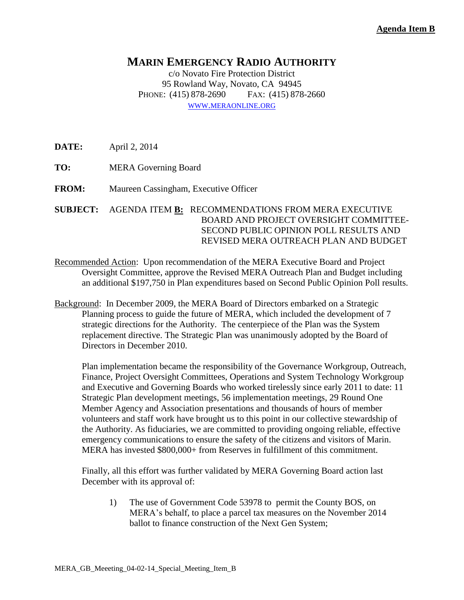## **MARIN EMERGENCY RADIO AUTHORITY**

c/o Novato Fire Protection District 95 Rowland Way, Novato, CA 94945 PHONE: (415) 878-2690 FAX: (415) 878-2660 WWW.[MERAONLINE](http://www.meraonline.org/).ORG

**DATE:** April 2, 2014

**TO:** MERA Governing Board

**FROM:** Maureen Cassingham, Executive Officer

**SUBJECT:** AGENDA ITEM **B:** RECOMMENDATIONS FROM MERA EXECUTIVE BOARD AND PROJECT OVERSIGHT COMMITTEE-SECOND PUBLIC OPINION POLL RESULTS AND REVISED MERA OUTREACH PLAN AND BUDGET

- Recommended Action: Upon recommendation of the MERA Executive Board and Project Oversight Committee, approve the Revised MERA Outreach Plan and Budget including an additional \$197,750 in Plan expenditures based on Second Public Opinion Poll results.
- Background: In December 2009, the MERA Board of Directors embarked on a Strategic Planning process to guide the future of MERA, which included the development of 7 strategic directions for the Authority. The centerpiece of the Plan was the System replacement directive. The Strategic Plan was unanimously adopted by the Board of Directors in December 2010.

 Plan implementation became the responsibility of the Governance Workgroup, Outreach, Finance, Project Oversight Committees, Operations and System Technology Workgroup and Executive and Governing Boards who worked tirelessly since early 2011 to date: 11 Strategic Plan development meetings, 56 implementation meetings, 29 Round One Member Agency and Association presentations and thousands of hours of member volunteers and staff work have brought us to this point in our collective stewardship of the Authority. As fiduciaries, we are committed to providing ongoing reliable, effective emergency communications to ensure the safety of the citizens and visitors of Marin. MERA has invested \$800,000+ from Reserves in fulfillment of this commitment.

Finally, all this effort was further validated by MERA Governing Board action last December with its approval of:

1) The use of Government Code 53978 to permit the County BOS, on MERA's behalf, to place a parcel tax measures on the November 2014 ballot to finance construction of the Next Gen System;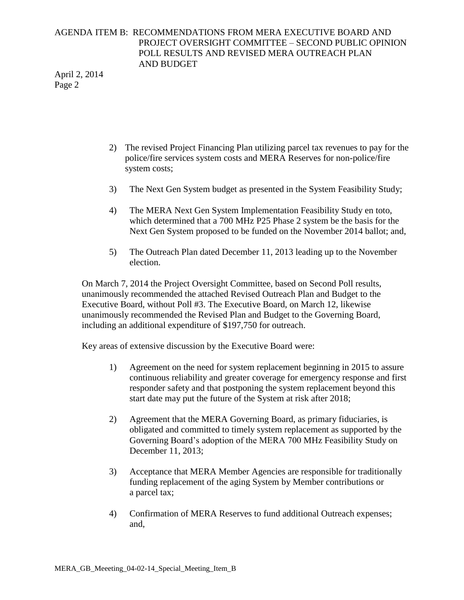## AGENDA ITEM B: RECOMMENDATIONS FROM MERA EXECUTIVE BOARD AND PROJECT OVERSIGHT COMMITTEE – SECOND PUBLIC OPINION POLL RESULTS AND REVISED MERA OUTREACH PLAN AND BUDGET

April 2, 2014 Page 2

- 2) The revised Project Financing Plan utilizing parcel tax revenues to pay for the police/fire services system costs and MERA Reserves for non-police/fire system costs;
- 3) The Next Gen System budget as presented in the System Feasibility Study;
- 4) The MERA Next Gen System Implementation Feasibility Study en toto, which determined that a 700 MHz P25 Phase 2 system be the basis for the Next Gen System proposed to be funded on the November 2014 ballot; and,
- 5) The Outreach Plan dated December 11, 2013 leading up to the November election.

On March 7, 2014 the Project Oversight Committee, based on Second Poll results, unanimously recommended the attached Revised Outreach Plan and Budget to the Executive Board, without Poll #3. The Executive Board, on March 12, likewise unanimously recommended the Revised Plan and Budget to the Governing Board, including an additional expenditure of \$197,750 for outreach.

Key areas of extensive discussion by the Executive Board were:

- 1) Agreement on the need for system replacement beginning in 2015 to assure continuous reliability and greater coverage for emergency response and first responder safety and that postponing the system replacement beyond this start date may put the future of the System at risk after 2018;
- 2) Agreement that the MERA Governing Board, as primary fiduciaries, is obligated and committed to timely system replacement as supported by the Governing Board's adoption of the MERA 700 MHz Feasibility Study on December 11, 2013;
- 3) Acceptance that MERA Member Agencies are responsible for traditionally funding replacement of the aging System by Member contributions or a parcel tax;
- 4) Confirmation of MERA Reserves to fund additional Outreach expenses; and,